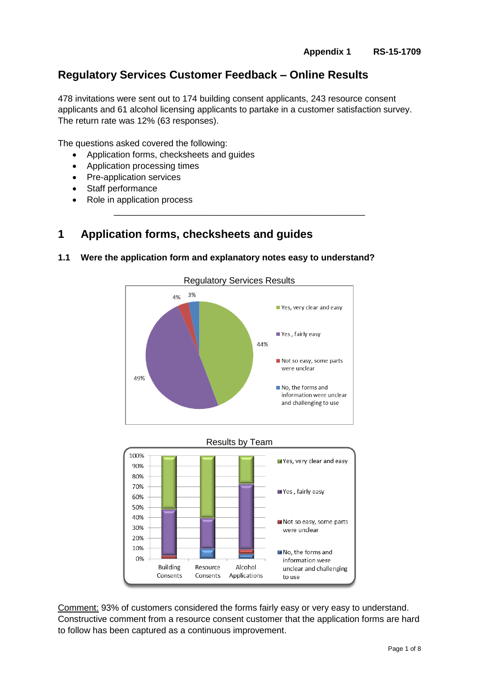# **Regulatory Services Customer Feedback – Online Results**

478 invitations were sent out to 174 building consent applicants, 243 resource consent applicants and 61 alcohol licensing applicants to partake in a customer satisfaction survey. The return rate was 12% (63 responses).

\_\_\_\_\_\_\_\_\_\_\_\_\_\_\_\_\_\_\_\_\_\_\_\_\_\_\_\_\_\_\_\_\_\_\_\_\_\_\_\_\_\_\_\_\_\_\_\_\_\_\_

The questions asked covered the following:

- Application forms, checksheets and guides
- Application processing times
- Pre-application services
- Staff performance
- Role in application process

## **1 Application forms, checksheets and guides**

### **1.1 Were the application form and explanatory notes easy to understand?**





Comment: 93% of customers considered the forms fairly easy or very easy to understand. Constructive comment from a resource consent customer that the application forms are hard to follow has been captured as a continuous improvement.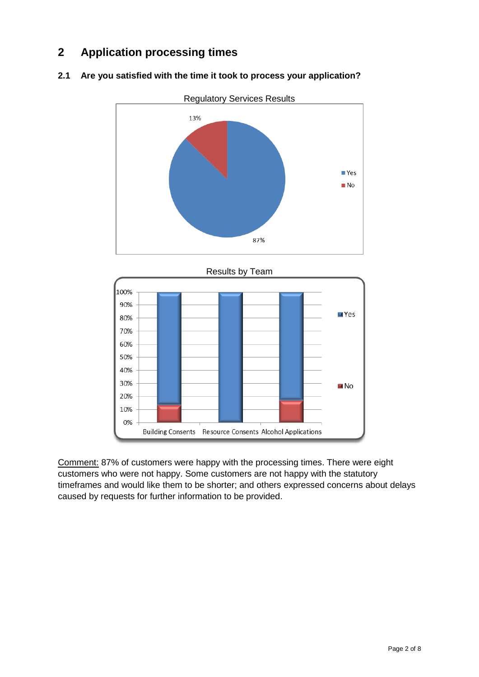# **2 Application processing times**



### **2.1 Are you satisfied with the time it took to process your application?**



Comment: 87% of customers were happy with the processing times. There were eight customers who were not happy. Some customers are not happy with the statutory timeframes and would like them to be shorter; and others expressed concerns about delays caused by requests for further information to be provided.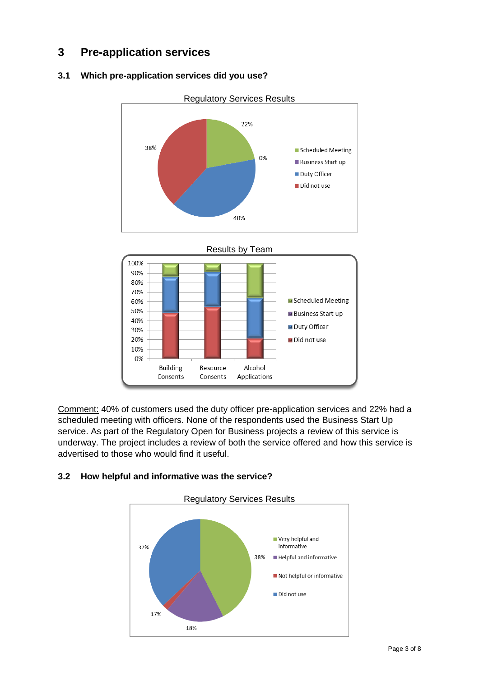# **3 Pre-application services**

## **3.1 Which pre-application services did you use?**







Comment: 40% of customers used the duty officer pre-application services and 22% had a scheduled meeting with officers. None of the respondents used the Business Start Up service. As part of the Regulatory Open for Business projects a review of this service is underway. The project includes a review of both the service offered and how this service is advertised to those who would find it useful.



## **3.2 How helpful and informative was the service?**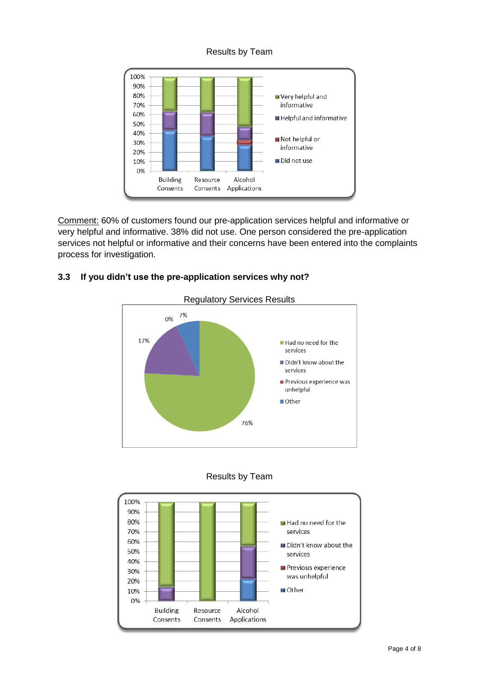### Results by Team



Comment: 60% of customers found our pre-application services helpful and informative or very helpful and informative. 38% did not use. One person considered the pre-application services not helpful or informative and their concerns have been entered into the complaints process for investigation.

## **3.3 If you didn't use the pre-application services why not?**





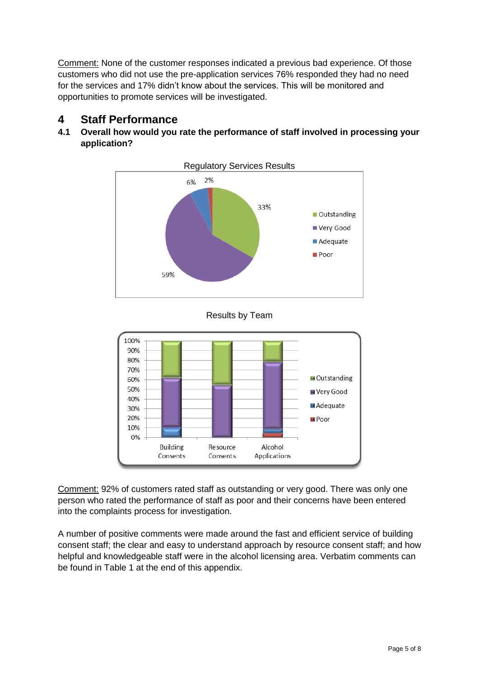Comment: None of the customer responses indicated a previous bad experience. Of those customers who did not use the pre-application services 76% responded they had no need for the services and 17% didn't know about the services. This will be monitored and opportunities to promote services will be investigated.

## **4 Staff Performance**

## **4.1 Overall how would you rate the performance of staff involved in processing your application?**



Results by Team



Comment: 92% of customers rated staff as outstanding or very good. There was only one person who rated the performance of staff as poor and their concerns have been entered into the complaints process for investigation.

A number of positive comments were made around the fast and efficient service of building consent staff; the clear and easy to understand approach by resource consent staff; and how helpful and knowledgeable staff were in the alcohol licensing area. Verbatim comments can be found in Table 1 at the end of this appendix.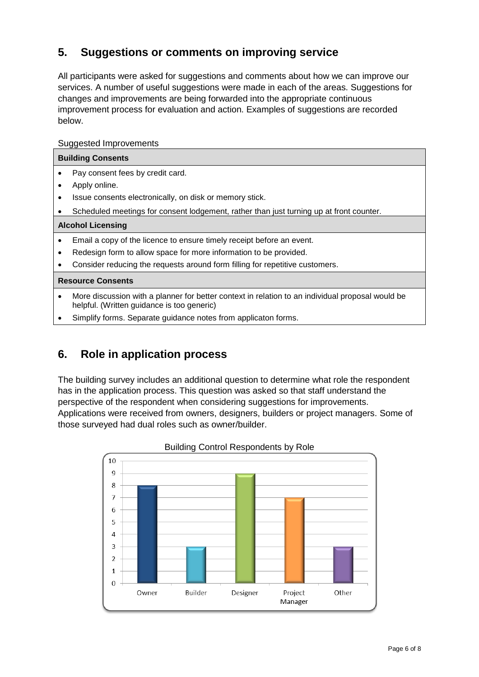# **5. Suggestions or comments on improving service**

All participants were asked for suggestions and comments about how we can improve our services. A number of useful suggestions were made in each of the areas. Suggestions for changes and improvements are being forwarded into the appropriate continuous improvement process for evaluation and action. Examples of suggestions are recorded below.

### Suggested Improvements

| <b>Building Consents</b> |                                                                                                                                                |
|--------------------------|------------------------------------------------------------------------------------------------------------------------------------------------|
|                          | Pay consent fees by credit card.                                                                                                               |
|                          | Apply online.                                                                                                                                  |
| ٠                        | Issue consents electronically, on disk or memory stick.                                                                                        |
|                          | Scheduled meetings for consent lodgement, rather than just turning up at front counter.                                                        |
| <b>Alcohol Licensing</b> |                                                                                                                                                |
| $\bullet$                | Email a copy of the licence to ensure timely receipt before an event.                                                                          |
| ٠                        | Redesign form to allow space for more information to be provided.                                                                              |
|                          | Consider reducing the requests around form filling for repetitive customers.                                                                   |
| <b>Resource Consents</b> |                                                                                                                                                |
| ٠                        | More discussion with a planner for better context in relation to an individual proposal would be<br>helpful. (Written guidance is too generic) |
|                          | Simplify forms. Separate guidance notes from applicaton forms.                                                                                 |
|                          |                                                                                                                                                |

## **6. Role in application process**

The building survey includes an additional question to determine what role the respondent has in the application process. This question was asked so that staff understand the perspective of the respondent when considering suggestions for improvements. Applications were received from owners, designers, builders or project managers. Some of those surveyed had dual roles such as owner/builder.



### Building Control Respondents by Role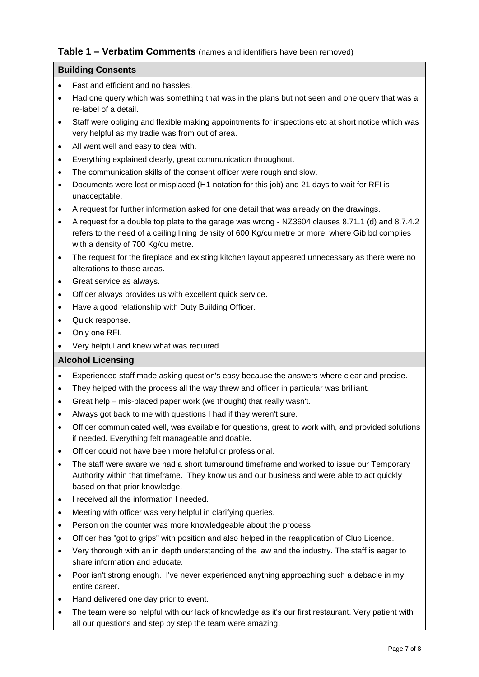## **Table 1 – Verbatim Comments** (names and identifiers have been removed)

### **Building Consents**

- Fast and efficient and no hassles.
- Had one query which was something that was in the plans but not seen and one query that was a re-label of a detail.
- Staff were obliging and flexible making appointments for inspections etc at short notice which was very helpful as my tradie was from out of area.
- All went well and easy to deal with.
- Everything explained clearly, great communication throughout.
- The communication skills of the consent officer were rough and slow.
- Documents were lost or misplaced (H1 notation for this job) and 21 days to wait for RFI is unacceptable.
- A request for further information asked for one detail that was already on the drawings.
- A request for a double top plate to the garage was wrong NZ3604 clauses 8.71.1 (d) and 8.7.4.2 refers to the need of a ceiling lining density of 600 Kg/cu metre or more, where Gib bd complies with a density of 700 Kg/cu metre.
- The request for the fireplace and existing kitchen layout appeared unnecessary as there were no alterations to those areas.
- Great service as always.
- Officer always provides us with excellent quick service.
- Have a good relationship with Duty Building Officer.
- Quick response.
- Only one RFI.
- Very helpful and knew what was required.

#### **Alcohol Licensing**

- Experienced staff made asking question's easy because the answers where clear and precise.
- They helped with the process all the way threw and officer in particular was brilliant.
- Great help mis-placed paper work (we thought) that really wasn't.
- Always got back to me with questions I had if they weren't sure.
- Officer communicated well, was available for questions, great to work with, and provided solutions if needed. Everything felt manageable and doable.
- Officer could not have been more helpful or professional.
- The staff were aware we had a short turnaround timeframe and worked to issue our Temporary Authority within that timeframe. They know us and our business and were able to act quickly based on that prior knowledge.
- I received all the information I needed.
- Meeting with officer was very helpful in clarifying queries.
- Person on the counter was more knowledgeable about the process.
- Officer has "got to grips" with position and also helped in the reapplication of Club Licence.
- Very thorough with an in depth understanding of the law and the industry. The staff is eager to share information and educate.
- Poor isn't strong enough. I've never experienced anything approaching such a debacle in my entire career.
- Hand delivered one day prior to event.
- The team were so helpful with our lack of knowledge as it's our first restaurant. Very patient with all our questions and step by step the team were amazing.